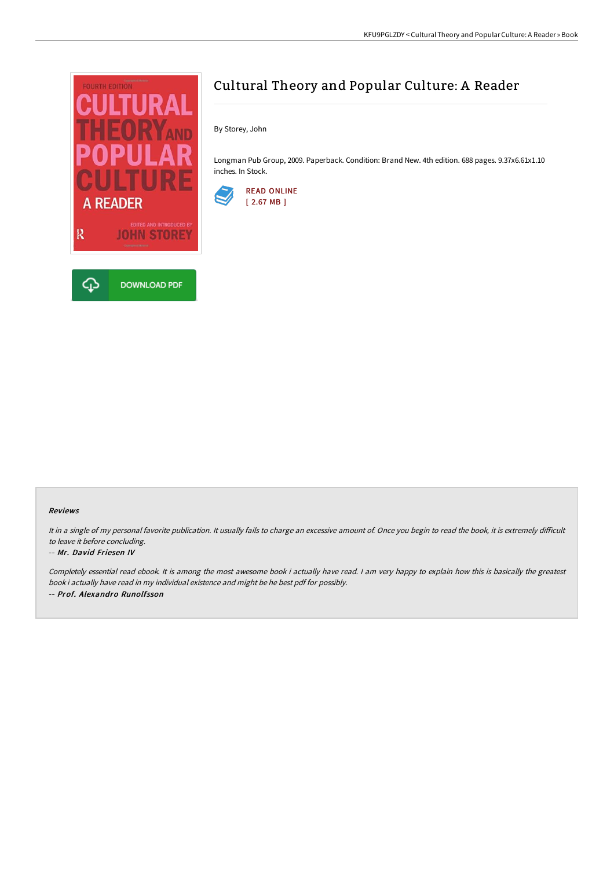

# Cultural Theory and Popular Culture: A Reader

By Storey, John

Longman Pub Group, 2009. Paperback. Condition: Brand New. 4th edition. 688 pages. 9.37x6.61x1.10 inches. In Stock.



### Reviews

It in a single of my personal favorite publication. It usually fails to charge an excessive amount of. Once you begin to read the book, it is extremely difficult to leave it before concluding.

#### -- Mr. David Friesen IV

Completely essential read ebook. It is among the most awesome book i actually have read. I am very happy to explain how this is basically the greatest book i actually have read in my individual existence and might be he best pdf for possibly. -- Prof. Alexandro Runolfsson